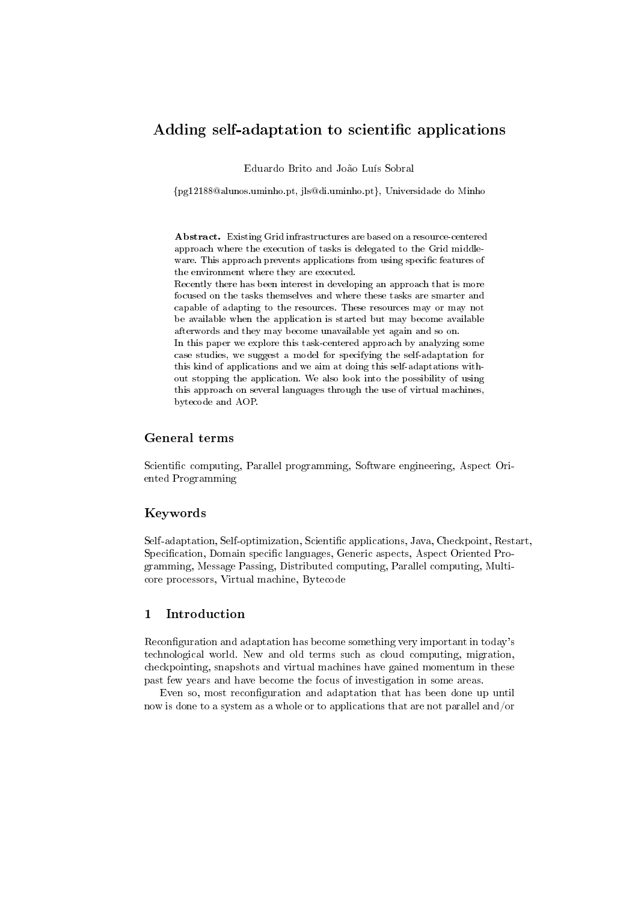# Adding self-adaptation to scientific applications

Eduardo Brito and João Luís Sobral

{pg12188@alunos.uminho.pt, jls@di.uminho.pt}, Universidade do Minho

Abstract. Existing Grid infrastructures are based on a resource-centered approach where the execution of tasks is delegated to the Grid middleware. This approach prevents applications from using specific features of the environment where they are executed.

Recently there has been interest in developing an approach that is more focused on the tasks themselves and where these tasks are smarter and capable of adapting to the resources. These resources may or may not be available when the application is started but may become available afterwords and they may become unavailable yet again and so on.

In this paper we explore this task-centered approach by analyzing some case studies, we suggest a model for specifying the self-adaptation for this kind of applications and we aim at doing this self-adaptations without stopping the application. We also look into the possibility of using this approach on several languages through the use of virtual machines, bytecode and AOP.

# General terms

Scientific computing, Parallel programming, Software engineering, Aspect Oriented Programming

### Keywords

Self-adaptation, Self-optimization, Scientific applications, Java, Checkpoint, Restart, Specification, Domain specific languages, Generic aspects, Aspect Oriented Programming, Message Passing, Distributed computing, Parallel computing, Multicore processors, Virtual machine, Bytecode

# 1 Introduction

Reconfiguration and adaptation has become something very important in today's technological world. New and old terms such as cloud computing, migration, checkpointing, snapshots and virtual machines have gained momentum in these past few years and have become the focus of investigation in some areas.

Even so, most reconfiguration and adaptation that has been done up until now is done to a system as a whole or to applications that are not parallel and/or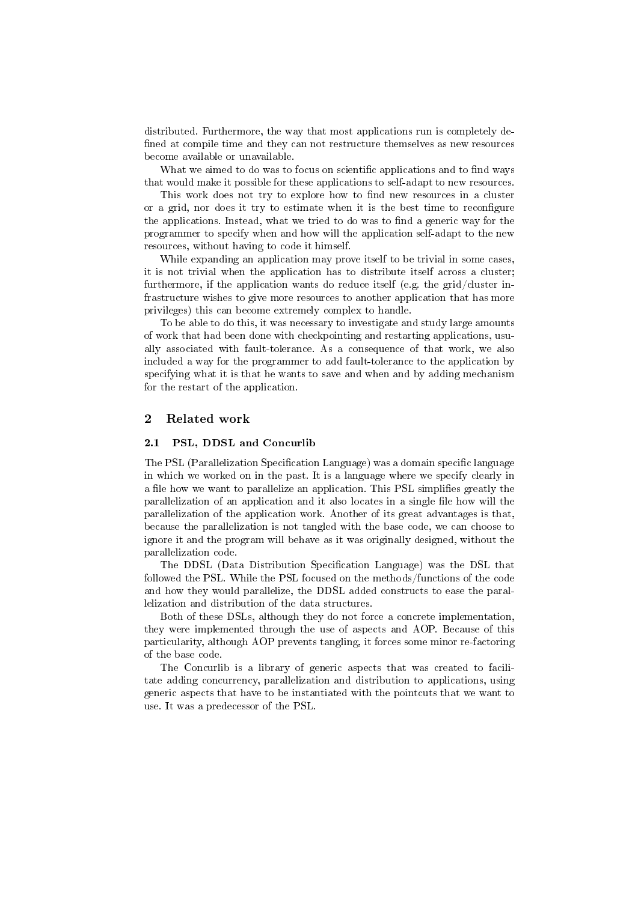distributed. Furthermore, the way that most applications run is completely de fined at compile time and they can not restructure themselves as new resources become available or unavailable.

What we aimed to do was to focus on scientific applications and to find ways that would make it possible for these applications to self-adapt to new resources.

This work does not try to explore how to find new resources in a cluster or a grid, nor does it try to estimate when it is the best time to reconfigure the applications. Instead, what we tried to do was to find a generic way for the programmer to specify when and how will the application self-adapt to the new resources, without having to code it himself.

While expanding an application may prove itself to be trivial in some cases, it is not trivial when the application has to distribute itself across a cluster; furthermore, if the application wants do reduce itself (e.g. the grid/cluster infrastructure wishes to give more resources to another application that has more privileges) this can become extremely complex to handle.

To be able to do this, it was necessary to investigate and study large amounts of work that had been done with checkpointing and restarting applications, usually associated with fault-tolerance. As a consequence of that work, we also included a way for the programmer to add fault-tolerance to the application by specifying what it is that he wants to save and when and by adding mechanism for the restart of the application.

#### 2 Related work

#### 2.1 PSL, DDSL and Concurlib

The PSL (Parallelization Specification Language) was a domain specific language in which we worked on in the past. It is a language where we specify clearly in a file how we want to parallelize an application. This PSL simplifies greatly the parallelization of an application and it also locates in a single file how will the parallelization of the application work. Another of its great advantages is that, because the parallelization is not tangled with the base code, we can choose to ignore it and the program will behave as it was originally designed, without the parallelization code.

The DDSL (Data Distribution Specification Language) was the DSL that followed the PSL. While the PSL focused on the methods/functions of the code and how they would parallelize, the DDSL added constructs to ease the parallelization and distribution of the data structures.

Both of these DSLs, although they do not force a concrete implementation, they were implemented through the use of aspects and AOP. Because of this particularity, although AOP prevents tangling, it forces some minor re-factoring of the base code.

The Concurlib is a library of generic aspects that was created to facilitate adding concurrency, parallelization and distribution to applications, using generic aspects that have to be instantiated with the pointcuts that we want to use. It was a predecessor of the PSL.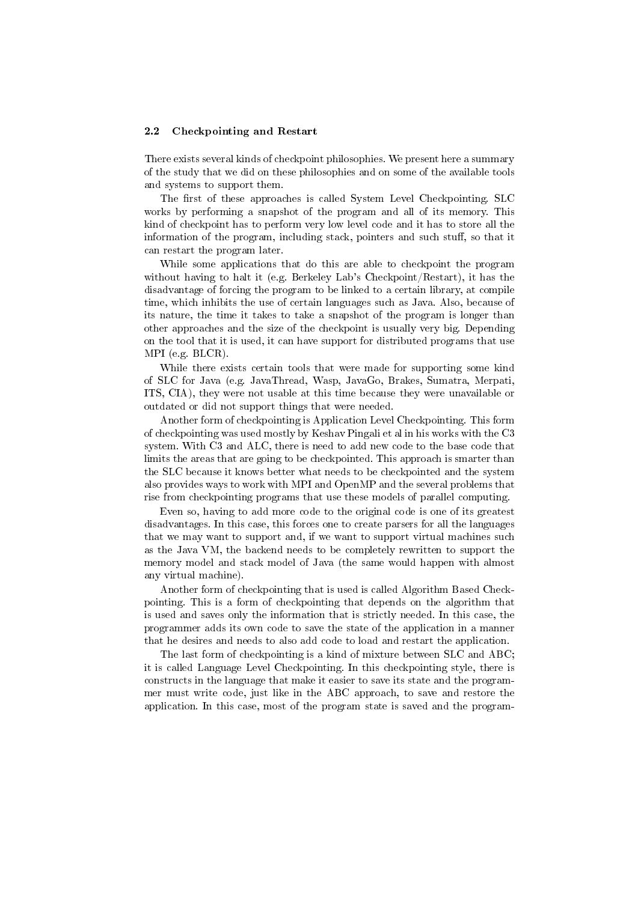#### 2.2 Checkpointing and Restart

There exists several kinds of checkpoint philosophies. We present here a summary of the study that we did on these philosophies and on some of the available tools and systems to support them.

The first of these approaches is called System Level Checkpointing. SLC works by performing a snapshot of the program and all of its memory. This kind of checkpoint has to perform very low level code and it has to store all the information of the program, including stack, pointers and such stuff, so that it can restart the program later.

While some applications that do this are able to checkpoint the program without having to halt it (e.g. Berkeley Lab's Checkpoint/Restart), it has the disadvantage of forcing the program to be linked to a certain library, at compile time, which inhibits the use of certain languages such as Java. Also, because of its nature, the time it takes to take a snapshot of the program is longer than other approaches and the size of the checkpoint is usually very big. Depending on the tool that it is used, it can have support for distributed programs that use MPI (e.g. BLCR).

While there exists certain tools that were made for supporting some kind of SLC for Java (e.g. JavaThread, Wasp, JavaGo, Brakes, Sumatra, Merpati, ITS, CIA), they were not usable at this time because they were unavailable or outdated or did not support things that were needed.

Another form of checkpointing is Application Level Checkpointing. This form of checkpointing was used mostly by Keshav Pingali et al in his works with the C3 system. With C3 and ALC, there is need to add new code to the base code that limits the areas that are going to be checkpointed. This approach is smarter than the SLC because it knows better what needs to be checkpointed and the system also provides ways to work with MPI and OpenMP and the several problems that rise from checkpointing programs that use these models of parallel computing.

Even so, having to add more code to the original code is one of its greatest disadvantages. In this case, this forces one to create parsers for all the languages that we may want to support and, if we want to support virtual machines such as the Java VM, the backend needs to be completely rewritten to support the memory model and stack model of Java (the same would happen with almost any virtual machine).

Another form of checkpointing that is used is called Algorithm Based Checkpointing. This is a form of checkpointing that depends on the algorithm that is used and saves only the information that is strictly needed. In this case, the programmer adds its own code to save the state of the application in a manner that he desires and needs to also add code to load and restart the application.

The last form of checkpointing is a kind of mixture between SLC and ABC; it is called Language Level Checkpointing. In this checkpointing style, there is constructs in the language that make it easier to save its state and the programmer must write code, just like in the ABC approach, to save and restore the application. In this case, most of the program state is saved and the program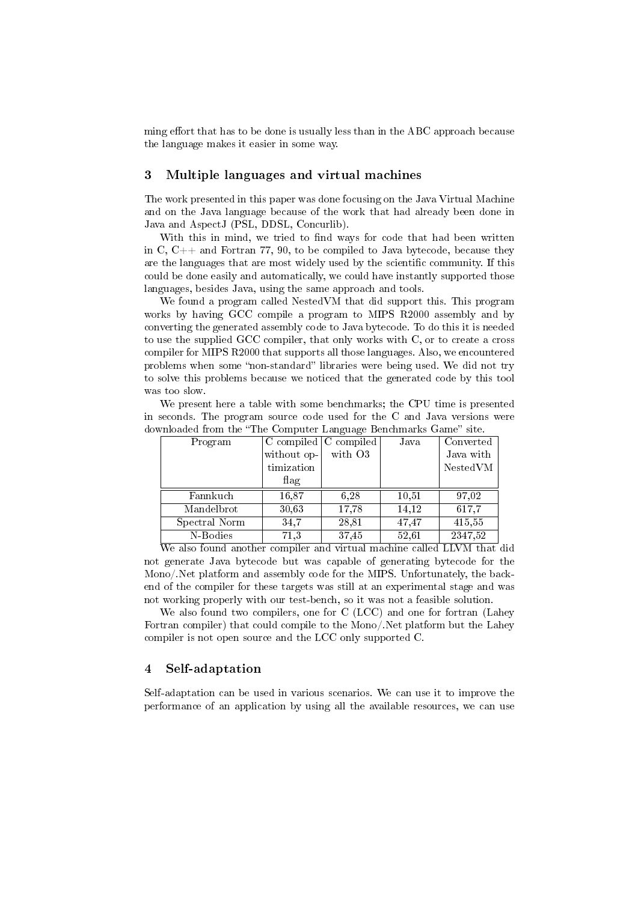ming effort that has to be done is usually less than in the ABC approach because the language makes it easier in some way.

#### 3 Multiple languages and virtual machines

The work presented in this paper was done focusing on the Java Virtual Machine and on the Java language because of the work that had already been done in Java and AspectJ (PSL, DDSL, Concurlib).

With this in mind, we tried to find ways for code that had been written in C,  $C_{++}$  and Fortran 77, 90, to be compiled to Java bytecode, because they are the languages that are most widely used by the scientific community. If this could be done easily and automatically, we could have instantly supported those languages, besides Java, using the same approach and tools.

We found a program called NestedVM that did support this. This program works by having GCC compile a program to MIPS R2000 assembly and by converting the generated assembly code to Java bytecode. To do this it is needed to use the supplied GCC compiler, that only works with C, or to create a cross compiler for MIPS R2000 that supports all those languages. Also, we encountered problems when some "non-standard" libraries were being used. We did not try to solve this problems because we noticed that the generated code by this tool was too slow.

We present here a table with some benchmarks; the CPU time is presented in seconds. The program source code used for the C and Java versions were downloaded from the "The Computer Language Benchmarks Game" site.

| Program       |               | $C$ compiled $C$ compiled | Java  | Converted |
|---------------|---------------|---------------------------|-------|-----------|
|               | without $op-$ | with O3                   |       | Java with |
|               | timization    |                           |       | NestedVM  |
|               | flag          |                           |       |           |
| Fannkuch      | 16,87         | 6.28                      | 10,51 | 97.02     |
| Mandelbrot    | 30,63         | 17,78                     | 14,12 | 617,7     |
| Spectral Norm | 34.7          | 28,81                     | 47,47 | 415,55    |
| N-Bodies      | 71,3          | 37,45                     | 52,61 | 2347,52   |

We also found another compiler and virtual machine called LLVM that did not generate Java bytecode but was capable of generating bytecode for the Mono/.Net platform and assembly code for the MIPS. Unfortunately, the backend of the compiler for these targets was still at an experimental stage and was not working properly with our test-bench, so it was not a feasible solution.

We also found two compilers, one for C (LCC) and one for fortran (Lahey Fortran compiler) that could compile to the Mono/.Net platform but the Lahey compiler is not open source and the LCC only supported C.

### 4 Self-adaptation

Self-adaptation can be used in various scenarios. We can use it to improve the performance of an application by using all the available resources, we can use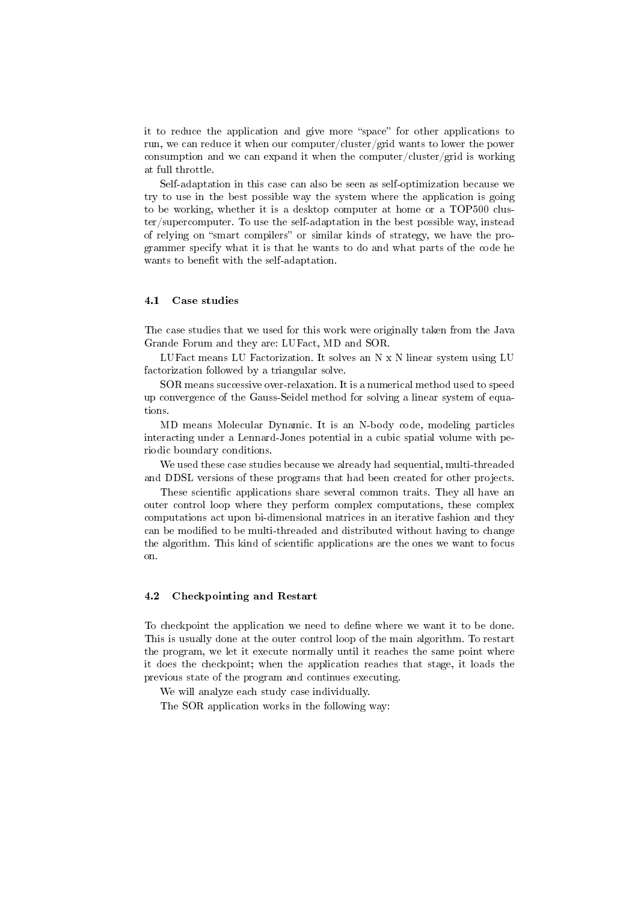it to reduce the application and give more "space" for other applications to run, we can reduce it when our computer/cluster/grid wants to lower the power consumption and we can expand it when the computer/cluster/grid is working at full throttle.

Self-adaptation in this case can also be seen as self-optimization because we try to use in the best possible way the system where the application is going to be working, whether it is a desktop computer at home or a TOP500 cluster/supercomputer. To use the self-adaptation in the best possible way, instead of relying on "smart compilers" or similar kinds of strategy, we have the programmer specify what it is that he wants to do and what parts of the code he wants to benefit with the self-adaptation.

#### 4.1 Case studies

The case studies that we used for this work were originally taken from the Java Grande Forum and they are: LUFact, MD and SOR.

LUFact means LU Factorization. It solves an N x N linear system using LU factorization followed by a triangular solve.

SOR means successive over-relaxation. It is a numerical method used to speed up convergence of the Gauss-Seidel method for solving a linear system of equations.

MD means Molecular Dynamic. It is an N-body code, modeling particles interacting under a Lennard-Jones potential in a cubic spatial volume with periodic boundary conditions.

We used these case studies because we already had sequential, multi-threaded and DDSL versions of these programs that had been created for other projects.

These scientific applications share several common traits. They all have an outer control loop where they perform complex computations, these complex computations act upon bi-dimensional matrices in an iterative fashion and they can be modified to be multi-threaded and distributed without having to change the algorithm. This kind of scientific applications are the ones we want to focus on.

#### 4.2 Checkpointing and Restart

To checkpoint the application we need to define where we want it to be done. This is usually done at the outer control loop of the main algorithm. To restart the program, we let it execute normally until it reaches the same point where it does the checkpoint; when the application reaches that stage, it loads the previous state of the program and continues executing.

We will analyze each study case individually.

The SOR application works in the following way: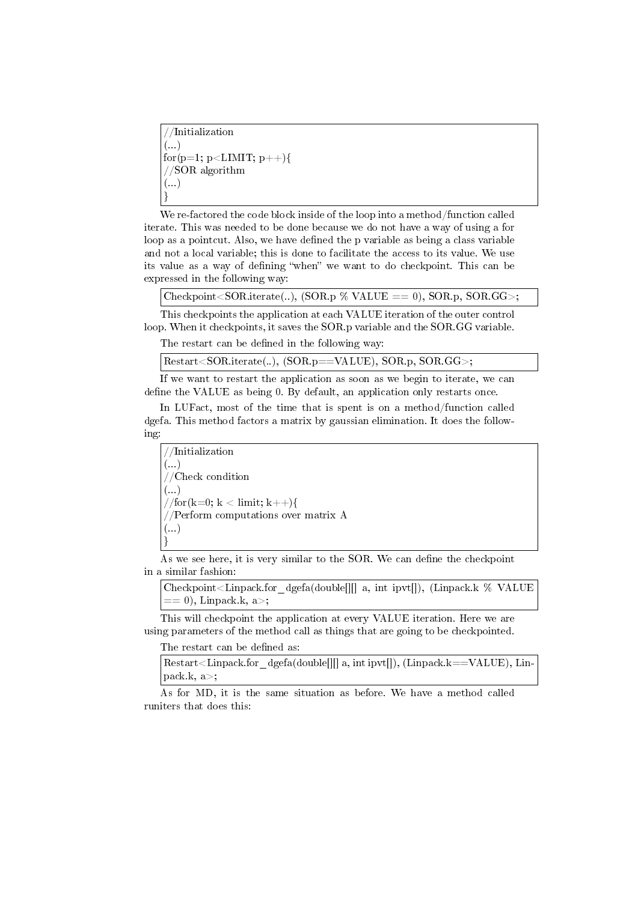//Initialization  $\left(\ldots\right)$ for(p=1; p<LIMIT; p++){ //SOR algorithm (...) }

We re-factored the code block inside of the loop into a method/function called iterate. This was needed to be done because we do not have a way of using a for loop as a pointcut. Also, we have defined the p variable as being a class variable and not a local variable; this is done to facilitate the access to its value. We use its value as a way of defining "when" we want to do checkpoint. This can be expressed in the following way:

Checkpoint  $\leq$  SOR. iterate(..), (SOR. p % VALUE == 0), SOR. p, SOR. GG $>$ ;

This checkpoints the application at each VALUE iteration of the outer control loop. When it checkpoints, it saves the SOR.p variable and the SOR.GG variable.

The restart can be defined in the following way:

Restart<SOR.iterate(..), (SOR.p==VALUE), SOR.p, SOR.GG>;

If we want to restart the application as soon as we begin to iterate, we can define the VALUE as being 0. By default, an application only restarts once.

In LUFact, most of the time that is spent is on a method/function called dgefa. This method factors a matrix by gaussian elimination. It does the following:

//Initialization (...) //Check condition (...) //for(k=0; k < limit; k++){ //Perform computations over matrix A  $\left( \ldots \right)$ }

As we see here, it is very similar to the SOR. We can define the checkpoint in a similar fashion:

Checkpoint < Linpack.for dgefa(double[][] a, int ipvt[]), (Linpack.k % VALUE == 0), Linpack.k, a>;

This will checkpoint the application at every VALUE iteration. Here we are using parameters of the method call as things that are going to be checkpointed.

The restart can be defined as:

Restart<Linpack.for dgefa(double[][] a, int ipvt[]), (Linpack.k==VALUE), Lin- $|pack.k, a>|;$ 

As for MD, it is the same situation as before. We have a method called runiters that does this: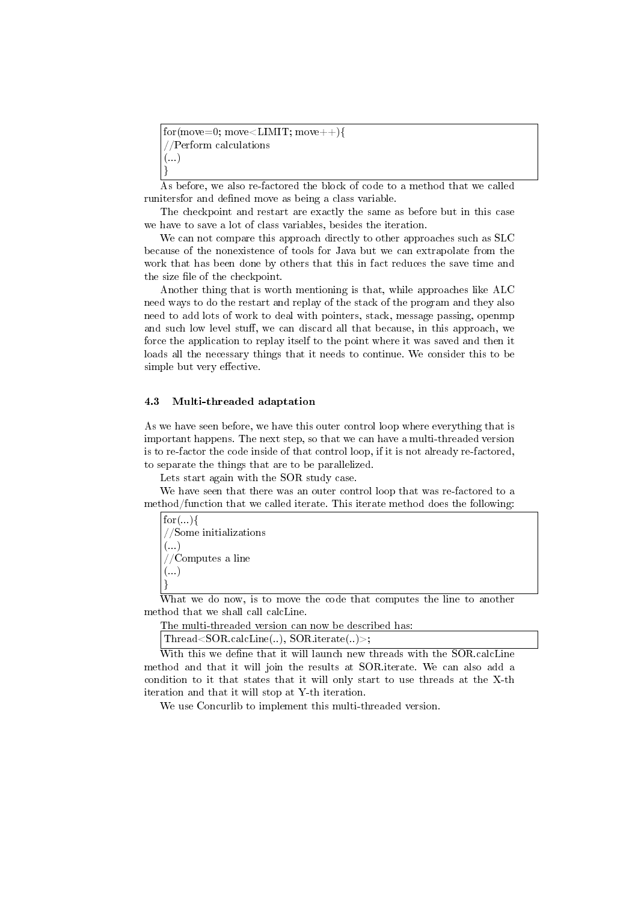$for(move=0; move{$ //Perform calculations  $\left(\ldots\right)$ }

As before, we also re-factored the block of code to a method that we called runitersfor and defined move as being a class variable.

The checkpoint and restart are exactly the same as before but in this case we have to save a lot of class variables, besides the iteration.

We can not compare this approach directly to other approaches such as SLC because of the nonexistence of tools for Java but we can extrapolate from the work that has been done by others that this in fact reduces the save time and the size file of the checkpoint.

Another thing that is worth mentioning is that, while approaches like ALC need ways to do the restart and replay of the stack of the program and they also need to add lots of work to deal with pointers, stack, message passing, openmp and such low level stuff, we can discard all that because, in this approach, we force the application to replay itself to the point where it was saved and then it loads all the necessary things that it needs to continue. We consider this to be simple but very effective.

#### 4.3 Multi-threaded adaptation

As we have seen before, we have this outer control loop where everything that is important happens. The next step, so that we can have a multi-threaded version is to re-factor the code inside of that control loop, if it is not already re-factored, to separate the things that are to be parallelized.

Lets start again with the SOR study case.

We have seen that there was an outer control loop that was re-factored to a method/function that we called iterate. This iterate method does the following:

 $for(...)$ //Some initializations (...) //Computes a line  $\left( \ldots \right)$ }

What we do now, is to move the code that computes the line to another method that we shall call calcLine.

The multi-threaded version can now be described has:

Thread<SOR.calcLine(..), SOR.iterate(..)>;

With this we define that it will launch new threads with the SOR.calcLine method and that it will join the results at SOR.iterate. We can also add a condition to it that states that it will only start to use threads at the X-th iteration and that it will stop at Y-th iteration.

We use Concurlib to implement this multi-threaded version.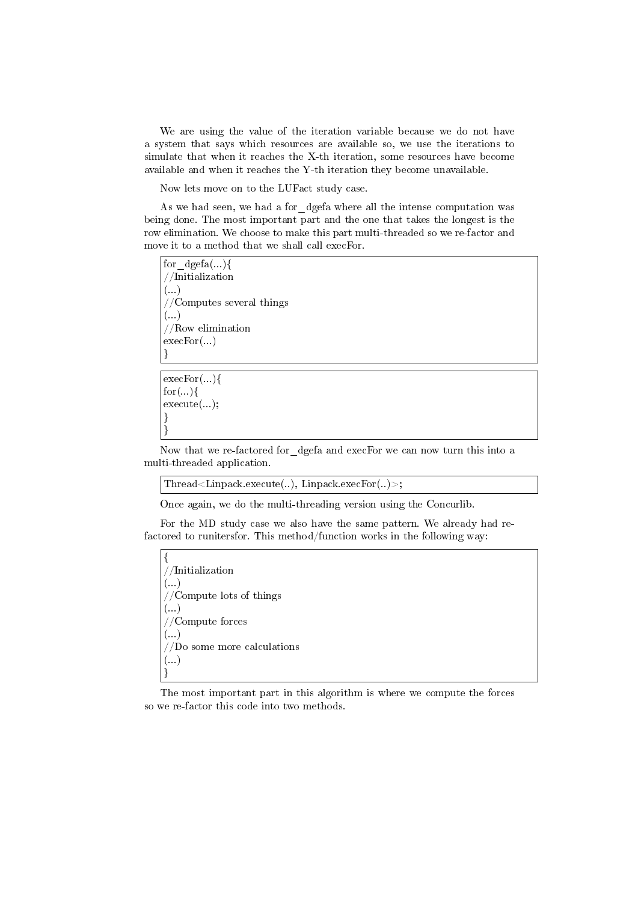We are using the value of the iteration variable because we do not have a system that says which resources are available so, we use the iterations to simulate that when it reaches the X-th iteration, some resources have become available and when it reaches the Y-th iteration they become unavailable.

Now lets move on to the LUFact study case.

As we had seen, we had a for dgefa where all the intense computation was being done. The most important part and the one that takes the longest is the row elimination. We choose to make this part multi-threaded so we re-factor and move it to a method that we shall call execFor.

for  $\text{dgefa}(\ldots)$ { //Initialization  $\overline{(\ldots)}$ //Computes several things  $\left( \ldots \right)$ //Row elimination execFor(...) }

execFor(...){  $for(...)$ { execute(...); } }

Now that we re-factored for\_dgefa and execFor we can now turn this into a multi-threaded application.

Thread<Linpack.execute(..), Linpack.execFor(..)>;

Once again, we do the multi-threading version using the Concurlib.

For the MD study case we also have the same pattern. We already had refactored to runitersfor. This method/function works in the following way:

{ //Initialization  $\left( \ldots \right)$ //Compute lots of things  $\left(\ldots\right)$ //Compute forces (...) //Do some more calculations  $\left(\ldots\right)$ }

The most important part in this algorithm is where we compute the forces so we re-factor this code into two methods.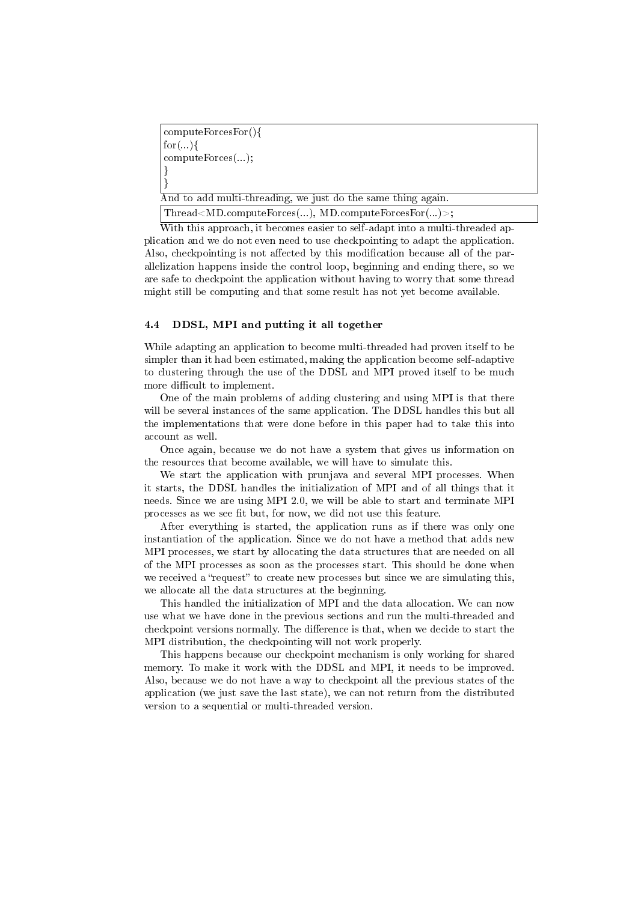computeForcesFor(){  $for(...)$ computeForces(...); } }

And to add multi-threading, we just do the same thing again.

Thread<MD.computeForces(...), MD.computeForcesFor(...)>;

With this approach, it becomes easier to self-adapt into a multi-threaded application and we do not even need to use checkpointing to adapt the application. Also, checkpointing is not affected by this modification because all of the parallelization happens inside the control loop, beginning and ending there, so we are safe to checkpoint the application without having to worry that some thread might still be computing and that some result has not yet become available.

### 4.4 DDSL, MPI and putting it all together

While adapting an application to become multi-threaded had proven itself to be simpler than it had been estimated, making the application become self-adaptive to clustering through the use of the DDSL and MPI proved itself to be much more difficult to implement.

One of the main problems of adding clustering and using MPI is that there will be several instances of the same application. The DDSL handles this but all the implementations that were done before in this paper had to take this into account as well.

Once again, because we do not have a system that gives us information on the resources that become available, we will have to simulate this.

We start the application with prunjava and several MPI processes. When it starts, the DDSL handles the initialization of MPI and of all things that it needs. Since we are using MPI 2.0, we will be able to start and terminate MPI processes as we see fit but, for now, we did not use this feature.

After everything is started, the application runs as if there was only one instantiation of the application. Since we do not have a method that adds new MPI processes, we start by allocating the data structures that are needed on all of the MPI processes as soon as the processes start. This should be done when we received a "request" to create new processes but since we are simulating this, we allocate all the data structures at the beginning.

This handled the initialization of MPI and the data allocation. We can now use what we have done in the previous sections and run the multi-threaded and checkpoint versions normally. The difference is that, when we decide to start the MPI distribution, the checkpointing will not work properly.

This happens because our checkpoint mechanism is only working for shared memory. To make it work with the DDSL and MPI, it needs to be improved. Also, because we do not have a way to checkpoint all the previous states of the application (we just save the last state), we can not return from the distributed version to a sequential or multi-threaded version.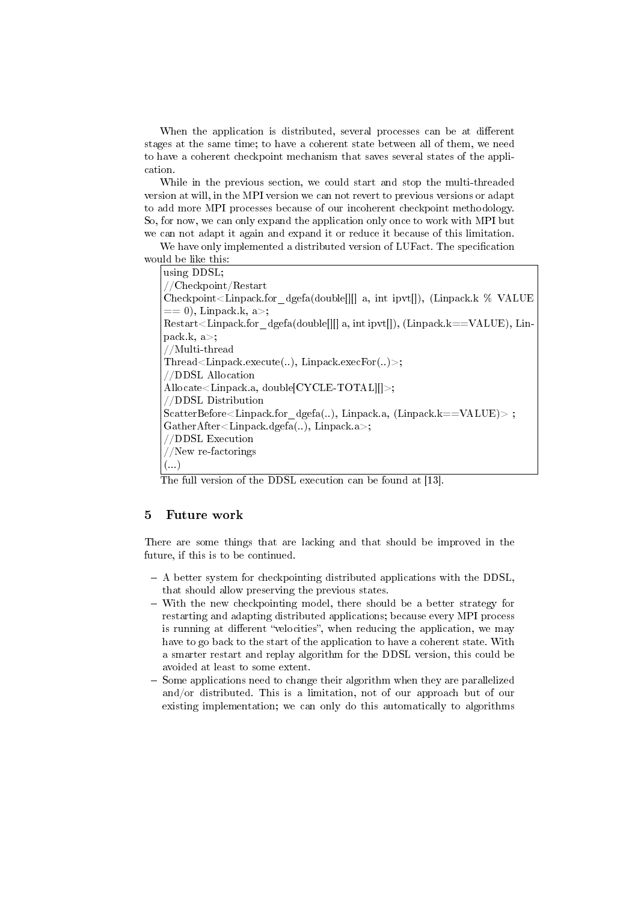When the application is distributed, several processes can be at different stages at the same time; to have a coherent state between all of them, we need to have a coherent checkpoint mechanism that saves several states of the application.

While in the previous section, we could start and stop the multi-threaded version at will, in the MPI version we can not revert to previous versions or adapt to add more MPI processes because of our incoherent checkpoint methodology. So, for now, we can only expand the application only once to work with MPI but we can not adapt it again and expand it or reduce it because of this limitation.

We have only implemented a distributed version of LUFact. The specification would be like this:

| using DDSL;                                                                                |  |  |  |  |
|--------------------------------------------------------------------------------------------|--|--|--|--|
| $// \text{Checkpoint}/\text{Restart}$                                                      |  |  |  |  |
| Checkpoint < Linpack.for dgefa(double    a, int ipvt  ), (Linpack.k $\%$ VALUE             |  |  |  |  |
| $=$ = 0), Linpack k, a>;                                                                   |  |  |  |  |
| $Restart\leq Lippack for \,dgefa(double]][a, int ipvt]], (Lippack.k==VALUE), Lin-$         |  |  |  |  |
| pack $k, a$ ;                                                                              |  |  |  |  |
| //Multi-thread                                                                             |  |  |  |  |
| Thread <linpack.execute(), linpack.execfor()="">;</linpack.execute(),>                     |  |  |  |  |
| //DDSL Allocation                                                                          |  |  |  |  |
| Allocate $\leq$ Linpack.a, double $CYCLE-TOTAL$ $\leq$ $\leq$                              |  |  |  |  |
| //DDSL Distribution                                                                        |  |  |  |  |
| $ScatterBefore \leq Line \leq Lipack. for \, degfa(), Lipack. a, (Lippack.k == VALUE) > ;$ |  |  |  |  |
| $GatherAfter < Lippack.dgefa()$ , Linpack.a>;                                              |  |  |  |  |
| //DDSL Execution                                                                           |  |  |  |  |
| //New re-factorings                                                                        |  |  |  |  |
| $($ . $)$                                                                                  |  |  |  |  |

The full version of the DDSL execution can be found at [13].

# 5 Future work

There are some things that are lacking and that should be improved in the future, if this is to be continued.

- A better system for checkpointing distributed applications with the DDSL, that should allow preserving the previous states.
- With the new checkpointing model, there should be a better strategy for restarting and adapting distributed applications; because every MPI process is running at different "velocities", when reducing the application, we may have to go back to the start of the application to have a coherent state. With a smarter restart and replay algorithm for the DDSL version, this could be avoided at least to some extent.
- Some applications need to change their algorithm when they are parallelized and/or distributed. This is a limitation, not of our approach but of our existing implementation; we can only do this automatically to algorithms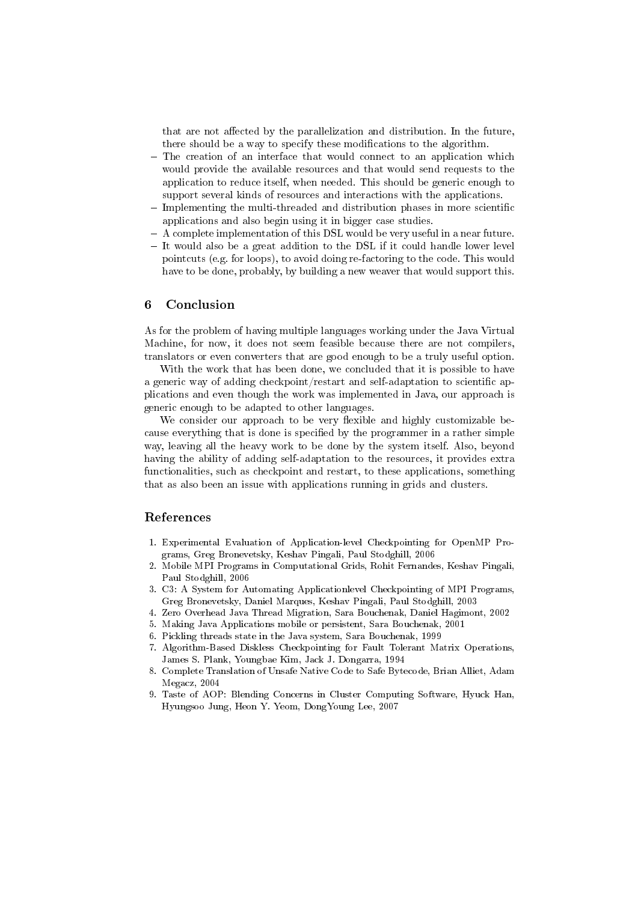that are not affected by the parallelization and distribution. In the future, there should be a way to specify these modifications to the algorithm.

- The creation of an interface that would connect to an application which would provide the available resources and that would send requests to the application to reduce itself, when needed. This should be generic enough to support several kinds of resources and interactions with the applications.
- $-$  Implementing the multi-threaded and distribution phases in more scientific applications and also begin using it in bigger case studies.
- A complete implementation of this DSL would be very useful in a near future.
- It would also be a great addition to the DSL if it could handle lower level pointcuts (e.g. for loops), to avoid doing re-factoring to the code. This would have to be done, probably, by building a new weaver that would support this.

### 6 Conclusion

As for the problem of having multiple languages working under the Java Virtual Machine, for now, it does not seem feasible because there are not compilers, translators or even converters that are good enough to be a truly useful option.

With the work that has been done, we concluded that it is possible to have a generic way of adding checkpoint/restart and self-adaptation to scientific applications and even though the work was implemented in Java, our approach is generic enough to be adapted to other languages.

We consider our approach to be very flexible and highly customizable because everything that is done is specified by the programmer in a rather simple way, leaving all the heavy work to be done by the system itself. Also, beyond having the ability of adding self-adaptation to the resources, it provides extra functionalities, such as checkpoint and restart, to these applications, something that as also been an issue with applications running in grids and clusters.

#### References

- 1. Experimental Evaluation of Application-level Checkpointing for OpenMP Programs, Greg Bronevetsky, Keshav Pingali, Paul Stodghill, 2006
- 2. Mobile MPI Programs in Computational Grids, Rohit Fernandes, Keshav Pingali, Paul Stodghill, 2006
- 3. C3: A System for Automating Applicationlevel Checkpointing of MPI Programs, Greg Bronevetsky, Daniel Marques, Keshav Pingali, Paul Stodghill, 2003
- 4. Zero Overhead Java Thread Migration, Sara Bouchenak, Daniel Hagimont, 2002
- 5. Making Java Applications mobile or persistent, Sara Bouchenak, 2001
- 6. Pickling threads state in the Java system, Sara Bouchenak, 1999
- 7. Algorithm-Based Diskless Checkpointing for Fault Tolerant Matrix Operations, James S. Plank, Youngbae Kim, Jack J. Dongarra, 1994
- 8. Complete Translation of Unsafe Native Code to Safe Bytecode, Brian Alliet, Adam Megacz, 2004
- 9. Taste of AOP: Blending Concerns in Cluster Computing Software, Hyuck Han, Hyungsoo Jung, Heon Y. Yeom, DongYoung Lee, 2007